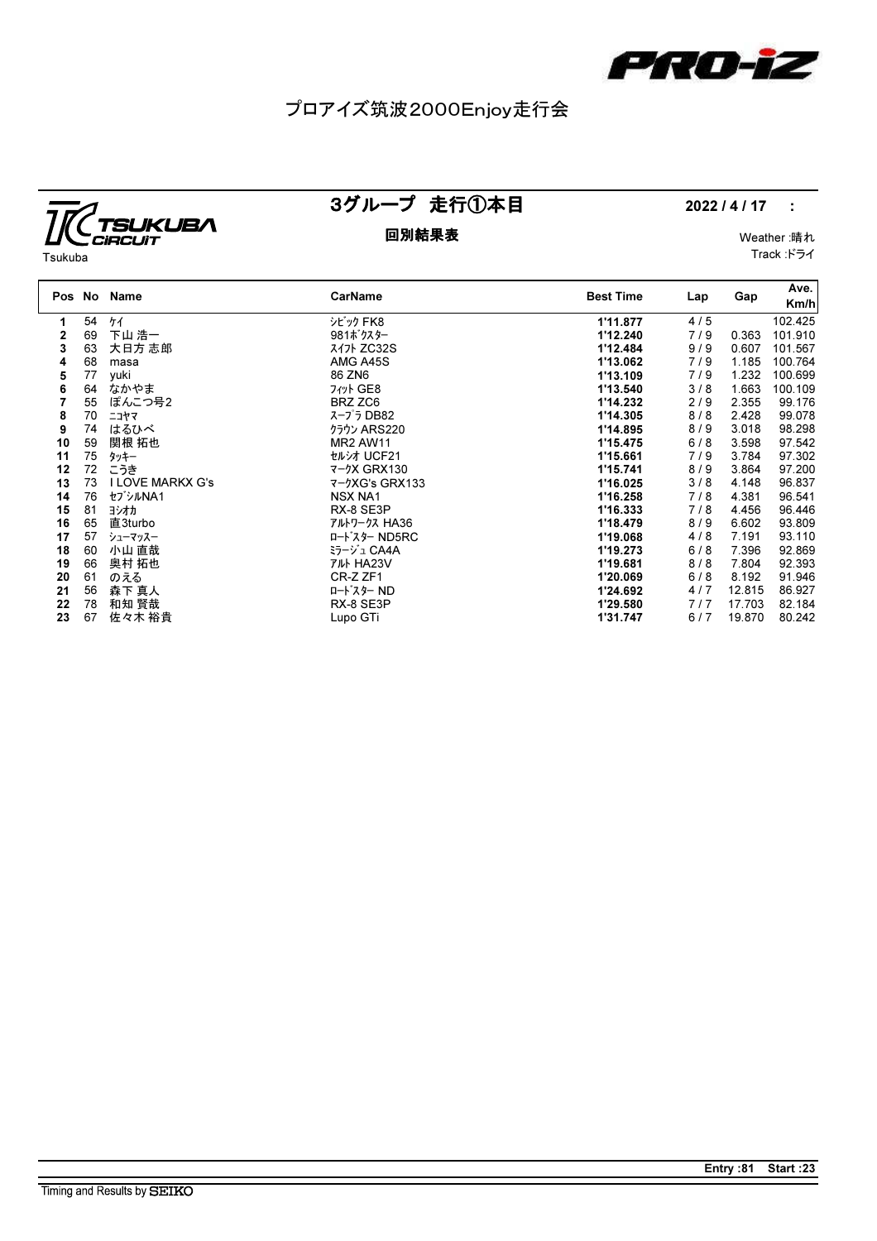

# プロアイズ筑波2000Enjoy走行会



## 3グループ 走行①本目 2022 / 4 / 17 :

#### 回別結果表 Weather :晴れ Track :ドライ

| Tsukuba |  |
|---------|--|

| Pos No |    | Name                    | CarName            | <b>Best Time</b> | Lap   | Gap    | Ave.<br>Km/h |
|--------|----|-------------------------|--------------------|------------------|-------|--------|--------------|
| 1      | 54 | ケイ                      | シビック FK8           | 1'11.877         | 4/5   |        | 102.425      |
| 2      | 69 | 下山 浩一                   | 981ボクスター           | 1'12.240         | 7/9   | 0.363  | 101.910      |
| 3      | 63 | 大日方 志郎                  | スイ가 ZC32S          | 1'12.484         | 9/9   | 0.607  | 101.567      |
| 4      | 68 | masa                    | AMG A45S           | 1'13.062         | 7/9   | 1.185  | 100.764      |
| 5      | 77 | yuki                    | 86 ZN6             | 1'13.109         | 7/9   | 1.232  | 100.699      |
| 6      | 64 | なかやま                    | 7  GE8             | 1'13.540         | 3/8   | 1.663  | 100.109      |
|        | 55 | ぽんこつ号2                  | BRZ ZC6            | 1'14.232         | 2/9   | 2.355  | 99.176       |
| 8      | 70 | ニコヤマ                    | スープラ DB82          | 1'14.305         | 8/8   | 2.428  | 99.078       |
| 9      | 74 | はるひべ                    | クラウン ARS220        | 1'14.895         | 8/9   | 3.018  | 98.298       |
| 10     | 59 | 関根 拓也                   | <b>MR2 AW11</b>    | 1'15.475         | $6/8$ | 3.598  | 97.542       |
| 11     | 75 | タッキー                    | セルシオ UCF21         | 1'15.661         | 7/9   | 3.784  | 97.302       |
| 12     | 72 | こうき                     | 7-7X GRX130        | 1'15.741         | 8/9   | 3.864  | 97.200       |
| 13     | 73 | <b>I LOVE MARKX G's</b> | $7 - 9XG's$ GRX133 | 1'16.025         | 3/8   | 4.148  | 96.837       |
| 14     | 76 | セブシルNA1                 | <b>NSX NA1</b>     | 1'16.258         | 7/8   | 4.381  | 96.541       |
| 15     | 81 | ヨシオカ                    | RX-8 SE3P          | 1'16.333         | 7/8   | 4.456  | 96.446       |
| 16     | 65 | 直3turbo                 | アルトワークス HA36       | 1'18.479         | 8/9   | 6.602  | 93.809       |
| 17     | 57 | シューマッスー                 | ロードスター ND5RC       | 1'19.068         | 4/8   | 7.191  | 93.110       |
| 18     | 60 | 小山 直哉                   | ミラージュ CA4A         | 1'19.273         | 6/8   | 7.396  | 92.869       |
| 19     | 66 | 奥村 拓也                   | <b>TILL HA23V</b>  | 1'19.681         | 8/8   | 7.804  | 92.393       |
| 20     | 61 | のえる                     | CR-Z ZF1           | 1'20.069         | $6/8$ | 8.192  | 91.946       |
| 21     | 56 | 森下 真人                   | ロート・スター ND         | 1'24.692         | 4/7   | 12.815 | 86.927       |
| 22     | 78 | 和知 賢哉                   | RX-8 SE3P          | 1'29.580         | 7/7   | 17.703 | 82.184       |
| 23     | 67 | 佐々木 裕貴                  | Lupo GTi           | 1'31.747         | 6/7   | 19.870 | 80.242       |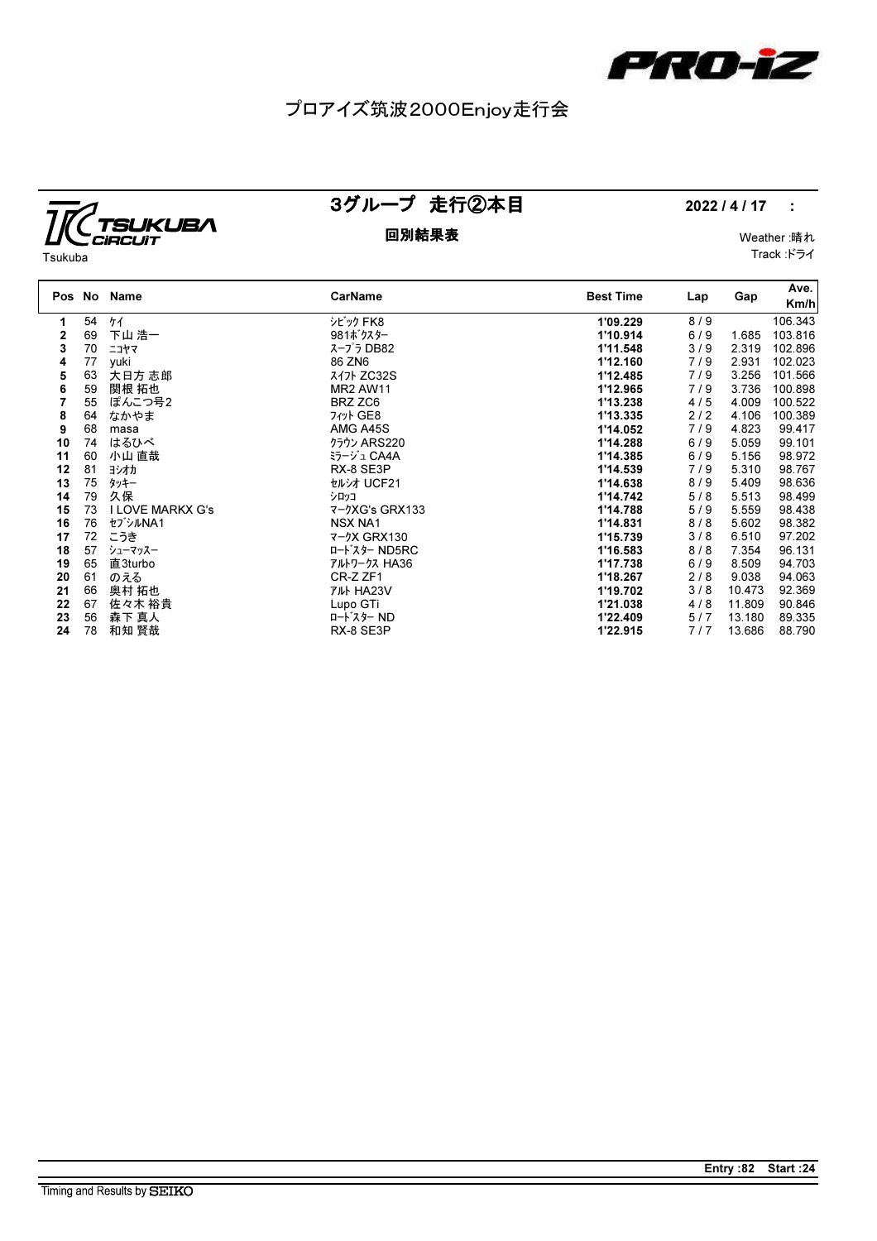

# プロアイズ筑波2000Enjoy走行会



### 回別結果表 Weather :晴れ

## 3グループ 走行②本目 2022 / 4 / 17 :

Track :ドライ

| Tsukuba |  |
|---------|--|

| Pos No |    | Name                    | CarName            | <b>Best Time</b> | Lap   | Gap    | Ave.<br>Km/h |
|--------|----|-------------------------|--------------------|------------------|-------|--------|--------------|
| 1      | 54 | ケイ                      | シビック FK8           | 1'09.229         | 8/9   |        | 106.343      |
| 2      | 69 | 下山 浩一                   | 981ボクスター           | 1'10.914         | 6/9   | 1.685  | 103.816      |
| 3      | 70 | ニコヤマ                    | スープラ DB82          | 1'11.548         | 3/9   | 2.319  | 102.896      |
| 4      | 77 | yuki                    | 86 ZN6             | 1'12.160         | 7/9   | 2.931  | 102.023      |
| 5      | 63 | 大日方 志郎                  | $717$ ZC32S        | 1'12.485         | 7/9   | 3.256  | 101.566      |
| 6      | 59 | 関根 拓也                   | <b>MR2 AW11</b>    | 1'12.965         | 7/9   | 3.736  | 100.898      |
|        | 55 | ぽんこつ号2                  | BRZ ZC6            | 1'13.238         | 4/5   | 4.009  | 100.522      |
| 8      | 64 | なかやま                    | 7  GE8             | 1'13.335         | $2/2$ | 4.106  | 100.389      |
| 9      | 68 | masa                    | AMG A45S           | 1'14.052         | 7/9   | 4.823  | 99.417       |
| 10     | 74 | はるひべ                    | クラウン ARS220        | 1'14.288         | 6/9   | 5.059  | 99.101       |
| 11     | 60 | 小山 直哉                   | ミラージュ CA4A         | 1'14.385         | $6/9$ | 5.156  | 98.972       |
| 12     | 81 | ヨシオカ                    | RX-8 SE3P          | 1'14.539         | 7/9   | 5.310  | 98.767       |
| 13     | 75 | タッキー                    | セルシオ UCF21         | 1'14.638         | 8/9   | 5.409  | 98.636       |
| 14     | 79 | 久保                      | シロッコ               | 1'14.742         | 5/8   | 5.513  | 98.499       |
| 15     | 73 | <b>I LOVE MARKX G's</b> | 7-7XG's GRX133     | 1'14.788         | 5/9   | 5.559  | 98.438       |
| 16     | 76 | セブシルNA1                 | <b>NSX NA1</b>     | 1'14.831         | 8/8   | 5.602  | 98.382       |
| 17     | 72 | こうき                     | <b>7-7X GRX130</b> | 1'15.739         | 3/8   | 6.510  | 97.202       |
| 18     | 57 | シューマッスー                 | ロードスター ND5RC       | 1'16.583         | 8/8   | 7.354  | 96.131       |
| 19     | 65 | 直3turbo                 | アルトワークス HA36       | 1'17.738         | $6/9$ | 8.509  | 94.703       |
| 20     | 61 | のえる                     | CR-Z ZF1           | 1'18.267         | 2/8   | 9.038  | 94.063       |
| 21     | 66 | 奥村 拓也                   | <b>TILL HA23V</b>  | 1'19.702         | 3/8   | 10.473 | 92.369       |
| 22     | 67 | 佐々木 裕貴                  | Lupo GTi           | 1'21.038         | 4/8   | 11.809 | 90.846       |
| 23     | 56 | 森下 真人                   | ロート・スター ND         | 1'22.409         | 5/7   | 13.180 | 89.335       |
| 24     | 78 | 和知 賢哉                   | RX-8 SE3P          | 1'22.915         | 7/7   | 13.686 | 88.790       |